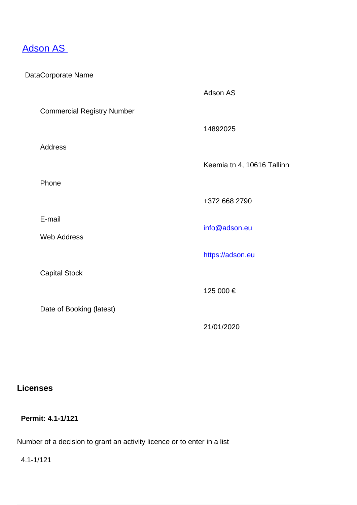# **[Adson AS](/en/payment-services/payment-institutions/estonian-payment-institutions/adson)**

### DataCorporate Name

|                                   | Adson AS                   |
|-----------------------------------|----------------------------|
| <b>Commercial Registry Number</b> |                            |
|                                   | 14892025                   |
| <b>Address</b>                    |                            |
|                                   | Keemia tn 4, 10616 Tallinn |
| Phone                             |                            |
|                                   | +372 668 2790              |
| E-mail                            |                            |
| <b>Web Address</b>                | info@adson.eu              |
|                                   | https://adson.eu           |
| <b>Capital Stock</b>              |                            |
|                                   | 125 000 €                  |
| Date of Booking (latest)          |                            |
|                                   | 21/01/2020                 |

# **Licenses**

# **Permit: 4.1-1/121**

Number of a decision to grant an activity licence or to enter in a list

4.1-1/121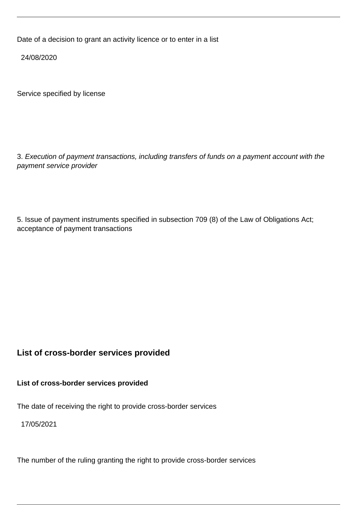Date of a decision to grant an activity licence or to enter in a list

24/08/2020

Service specified by license

3. Execution of payment transactions, including transfers of funds on a payment account with the payment service provider

5. Issue of payment instruments specified in subsection 709 (8) of the Law of Obligations Act; acceptance of payment transactions

## **List of cross-border services provided**

**List of cross-border services provided**

The date of receiving the right to provide cross-border services

17/05/2021

The number of the ruling granting the right to provide cross-border services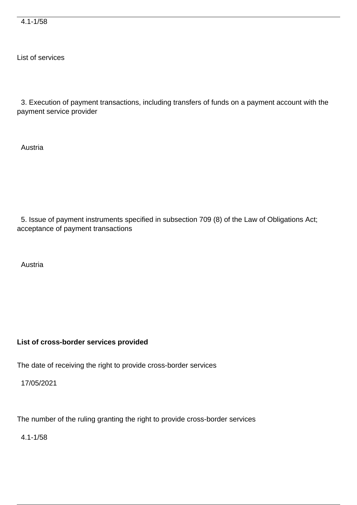4.1-1/58

List of services

 3. Execution of payment transactions, including transfers of funds on a payment account with the payment service provider

Austria

 5. Issue of payment instruments specified in subsection 709 (8) of the Law of Obligations Act; acceptance of payment transactions

Austria

#### **List of cross-border services provided**

The date of receiving the right to provide cross-border services

17/05/2021

The number of the ruling granting the right to provide cross-border services

4.1-1/58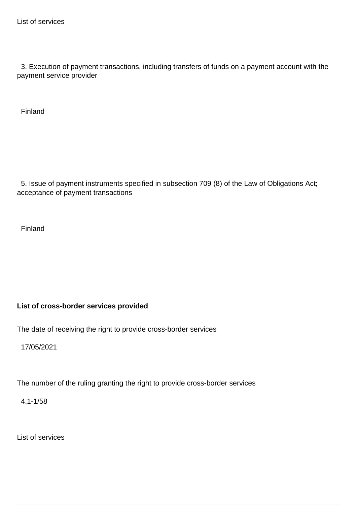3. Execution of payment transactions, including transfers of funds on a payment account with the payment service provider

Finland

 5. Issue of payment instruments specified in subsection 709 (8) of the Law of Obligations Act; acceptance of payment transactions

Finland

### **List of cross-border services provided**

The date of receiving the right to provide cross-border services

17/05/2021

The number of the ruling granting the right to provide cross-border services

4.1-1/58

List of services